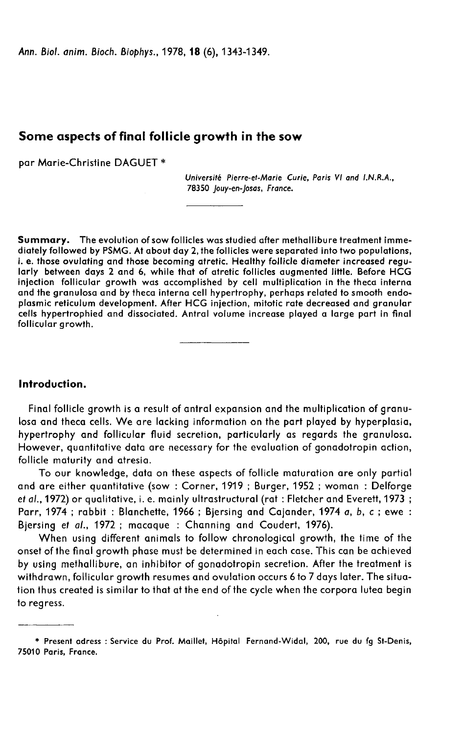Ann. Biol. anim. Bioch. Biophys., 1978, 18 (6), 1343-1349.

# Some aspects of final follicle growth in the sow

par Marie-Christine DAGUET \*

Université Pierre-et-Marie Curie, Paris VI and LN.R.A., 78350 Jouy-en-Josas, France.

Summary. The evolution of sow follicles was studied after methallibure treatment immediately followed by PSMG. At about day 2, the follicles were separated into two populations, i. e. those ovulating and those becoming atretic. Healthy follicle diameter increased regularly between days 2 and 6, while that of atretic follicles augmented little. Before HCG injection follicular growth was accomplished by cell multiplication in the theca interna and the granulosa and by theca interna cell hypertrophy, perhaps related to smooth endoplasmic reticulum development. After HCG injection, mitotic rate decreased and granular cells hypertrophied and dissociated. Antral volume increase played a large part in final follicular growth.

Introduction.

Final follicle growth is a result of antral expansion and the multiplication of granulosa and theca cells. We are lacking information on the part played by hyperplasia, hypertrophy and follicular fluid secretion, particularly as regards the granulosa. However, quantitative data are necessary for the evaluation of gonadotropin action, follicle maturity and atresia.

To our knowledge, data on these aspects of follicle maturation are only partial and are either quantitative (sow : Corner, 1919 ; Burger, 1952 ; woman : Delforge et al., 1972) or qualitative, i. e. mainly ultrastructural (rat : Fletcher and Everett, 1973 ; Parr, 1974; rabbit: Blanchette, 1966; Bjersing and Cajander, 1974 a, b, c; ewe: Bjersing et al., 1972 ; macaque : Channing and Coudert, 1976).

When using different animals to follow chronological growth, the time of the onset of the final growth phase must be determined in each case. This can be achieved by using methallibure, an inhibitor of gonadotropin secretion. After the treatment is withdrawn, follicular growth resumes and ovulation occurs 6 to 7 days later. The situation thus created is similar to that at the end of the cycle when the corpora lutea begin to regress.

<sup>\*</sup> Present adress : Service du Prof. Maillet, H6pital Fernand-Widal, 200, rue du fg St-Denis, 75010 Paris, France.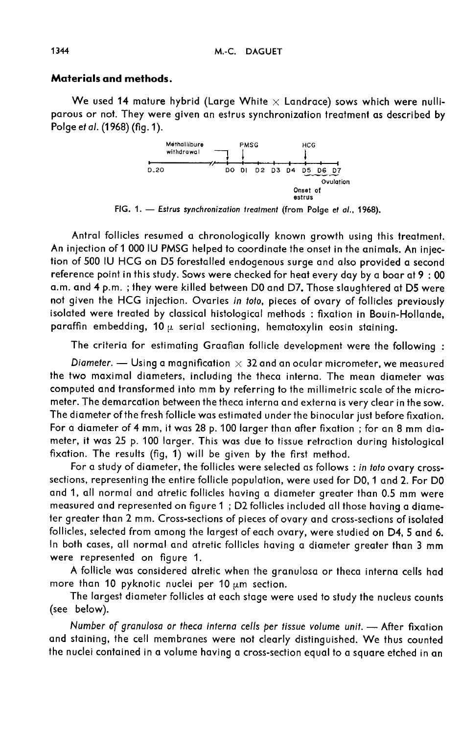## Materials and methods.

We used 14 mature hybrid (Large White  $\times$  Landrace) sows which were nulliparous or not. They were given an estrus synchronization treatment as described by Polge et al. (1968) (fig. 1).



FIG. 1. - Estrus synchronization treatment (from Polge et al., 1968).

Antral follicles resumed a chronologically known growth using this treatment. An injection of 1 000 IU PMSG helped to coordinate the onset in the animals. An injection of 500 IU HCG on D5 forestalled endogenous surge and also provided a second reference point in this study. Sows were checked for heat every day by a boar at 9 : 00 a.m. and 4 p.m. ; they were killed between DO and D7. Those slaughtered at D5 were not given the HCG injection. Ovaries in toto, pieces of ovary of follicles previously isolated were treated by classical histological methods : fixation in Bouin-Hollande, paraffin embedding, 10  $\mu$  serial sectioning, hematoxylin eosin staining.

The criteria for estimating Graafian follicle development were the following :

Diameter.  $-$  Using a magnification  $\times$  32 and an ocular micrometer, we measured the two maximal diameters, including the theca interna. The mean diameter was computed and transformed into mm by referring to the millimetric scale of the micrometer. The demarcation between the theca interna and externa is very clear in the sow. The diameter of the fresh follicle was estimated under the binocular just before fixation. For a diameter of 4 mm, it was 28 p. 100 larger than after fixation ; for an 8 mm diameter, it was 25 p. 100 larger. This was due to tissue retraction during histological fixation. The results (fig, 1) will be given by the first method.

For a study of diameter, the follicles were selected as follows : in toto ovary crosssections, representing the entire follicle population, were used for D0, 1 and 2. For DO and 1, all normal and atretic follicles having a diameter greater than 0.5 mm were measured and represented on figure 1 ; D2 follicles included all those having a diameter greater than 2 mm. Cross-sections of pieces of ovary and cross-sections of isolated follicles, selected from among the largest of each ovary, were studied on D4, 5 and 6. In both cases, all normal and atretic follicles having a diameter greater than 3 mm were represented on figure 1.

A follicle was considered atretic when the granulosa or theca interna cells had more than 10 pyknotic nuclei per 10  $\mu$ m section.

The largest diameter follicles at each stage were used to study the nucleus counts (see below).

Number of granulosa or theca interna cells per tissue volume unit. - After fixation and staining, the cell membranes were not clearly distinguished. We thus counted the nuclei contained in a volume having a cross-section equal to a square etched in an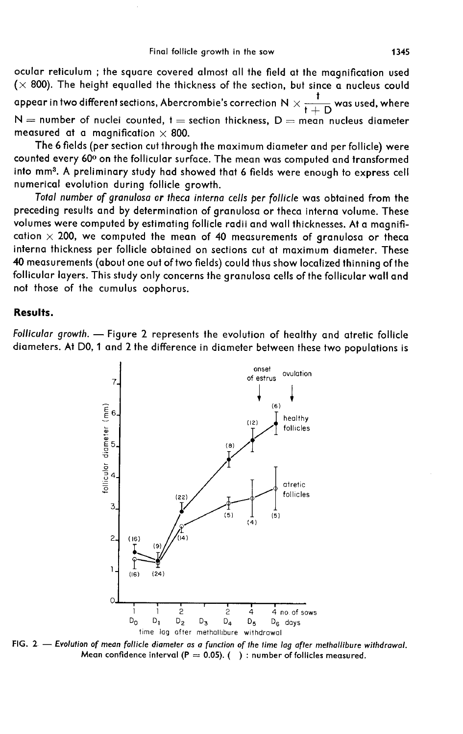ocular reticulum ; the square covered almost all the field at the magnification used  $(x 800)$ . The height equalled the thickness of the section, but since a nucleus could t ocular reticulum ; the square covered almost all the field at the magnification used ( $\times$  800). The height equalled the thickness of the section, but since a nucleus could appear in two different sections, Abercrombie's  $t + D$  $N =$  number of nuclei counted, t = section thickness,  $D =$  mean nucleus diameter measured at a magnification  $\times$  800.

The 6 fields (per section cut through the maximum diameter and per follicle) were I he 6 fields (per section cut through the maximum diameter and per follicle) were<br>counted every 60° on the follicular surface. The mean was computed and transformed<br>into mm<sup>3</sup>. A preliminary study had showed that 6 fields numerical evolution during follicle growth.

Total number of granulosa or theca interna cells per follicle was obtained from the preceding results and by determination of granulosa or theca interna volume. These volumes were computed by estimating follicle radii and wall thicknesses. At a magnification  $\times$  200, we computed the mean of 40 measurements of granulosa or theca interna thickness per follicle obtained on sections cut at maximum diameter. These 40 measurements (about one out of two fields) could thus show localized thinning of the follicular layers. This study only concerns the granulosa cells of the follicular wall and not those of the cumulus oophorus.

### Results.

Follicular growth. - Figure 2 represents the evolution of healthy and atretic follicle diameters. At D0, 1 and 2 the difference in diameter between these two populations is



FIG. 2. - Evolution of mean follicle diameter as a function of the time lag after methallibure withdrawal. Mean confidence interval ( $P = 0.05$ ). () : number of follicles measured.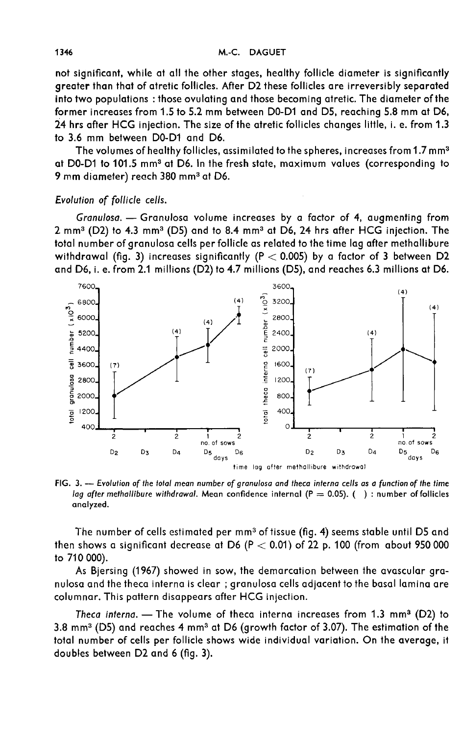not significant, while at all the other stages, healthy follicle diameter is significantly greater than that of atretic follicles. After D2 these follicles are irreversibly separated into two populations : those ovulating and those becoming atretic. The diameter of the former increases from 1.5 to 5.2 mm between DO-D1 and D5, reaching 5.8 mm at D6, 24 hrs after HCG injection. The size of the atretic follicles changes little, i. e. from 1.3 to 3.6 mm between DO-D1 and D6.

The volumes of healthy follicles, assimilated to the spheres, increases from 1.7 mm3 at DO-D1 to 101.5 mm3at D6. In the fresh state, maximum values (corresponding to at D0-D1 to 101.5 mm<sup>3</sup> at D6. In the fresh state, maximum values (corresponding to 9 mm diameter) reach 380 mm<sup>3</sup> at D6.

# Evolution of follicle cells.

Granulosa.  $-$  Granulosa volume increases by a factor of 4, augmenting from 2 mm3(D2) to 4.3 mm3(D5) and to 8.4 mm3at D6, 24 hrs after HCG injection. The total number of granulosa cells per follicle as related to the time lag after methallibure withdrawal (fig. 3) increases significantly (P  $<$  0.005) by a factor of 3 between D2 and D6, i. e. from 2.1 millions (D2) to 4.7 millions (D5), and reaches 6.3 millions at D6.



FIG. 3. --- Evolution of the total mean number of granulosa and theca interna cells as a function of the time lag after methallibure withdrawal. Mean confidence internal ( $P = 0.05$ ). (): number of follicles analyzed.

The number of cells estimated per mm<sup>3</sup> of tissue (fig. 4) seems stable until D5 and then shows a significant decrease at D6 ( $P < 0.01$ ) of 22 p. 100 (from about 950 000 to 710 000).

As Bjersing (1967) showed in sow, the demarcation between the avascular granulosa and the theca interna is clear ; granulosa cells adjacent to the basal lamina are columnar. This pattern disappears after HCG injection.

mnar. This pattern disappears after HCG injection.<br>Theca interna. — The volume of theca interna increases from 1.3 mm<sup>3</sup> (D2) to Theca interna. — The volume of theca interna increases from 1.3 mm<sup>3</sup> (D2) to<br>3.8 mm<sup>3</sup> (D5) and reaches 4 mm<sup>3</sup> at D6 (growth factor of 3.07). The estimation of the total number of cells per follicle shows wide individual variation. On the average, it doubles between D2 and 6 (fig. 3).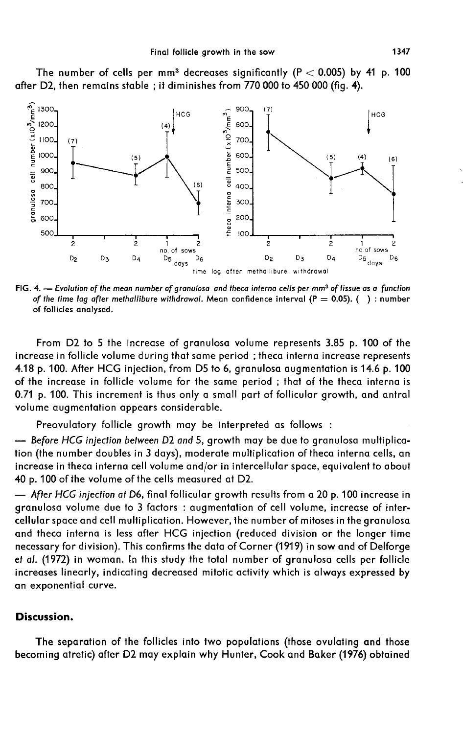

The number of cells per mm<sup>3</sup> decreases significantly (P  $<$  0.005) by 41 p. 100 after D2, then remains stable ; it diminishes from 770 000 to 450 000 (fig. 4).

FIG. 4. - Evolution of the mean number of granulosa and theca interna cells per mm<sup>3</sup> of tissue as a function of the time lag after methallibure withdrawal. Mean confidence interval ( $P = 0.05$ ). (): number of follicles analysed.

From D2 to 5 the increase of granulosa volume represents 3.85 p. 100 of the increase in follicle volume during that same period ; theca interna increase represents 4.18 p. 100. After HCG injection, from D5 to 6, granulosa augmentation is 14.6 p. 100 of the increase in follicle volume for the same period ; that of the theca interna is 0.71 p. 100. This increment is thus only a small part of follicular growth, and antral volume augmentation appears considerable.

Preovulatory follicle growth may be interpreted as follows :

- Before HCG injection between D2 and 5, growth may be due to granulosa multiplication (the number doubles in 3 days), moderate multiplication of theca interna cells, an increase in theca interna cell volume and/or in intercellular space, equivalent to about 40 p. 100 of the volume of the cells measured at D2.

- After HCG injection at D6, final follicular growth results from a 20 p. 100 increase in granulosa volume due to 3 factors : augmentation of cell volume, increase of intercellular space and cell multiplication. However, the number of mitoses in the granulosa and theca interna is less after HCG injection (reduced division or the longer time necessary for division). This confirms the data of Corner (1919) in sow and of Delforge et at. (1972) in woman. In this study the total number of granulosa cells per follicle increases linearly, indicating decreased mitotic activity which is always expressed by an exponential curve.

### Discussion.

The separation of the follicles into two populations (those ovulating and those becoming atretic) after D2 may explain why Hunter, Cook and Baker (1976) obtained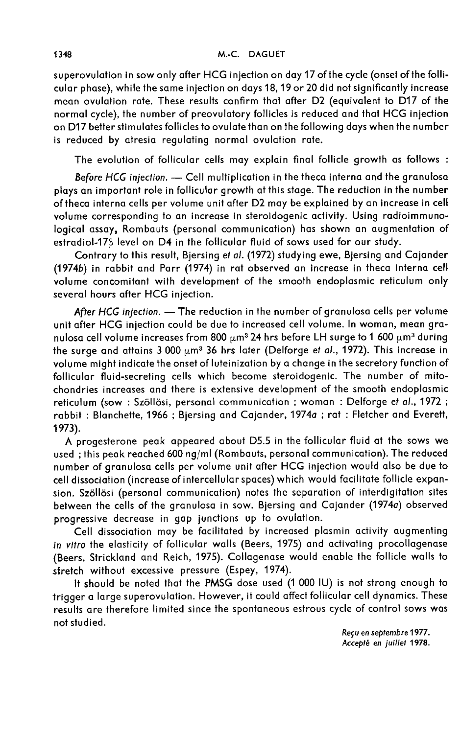superovulation in sow only after HCG injection on day 17 of the cycle (onset of the follicular phase), while the same injection on days 18,19 or 20 did not significantly increase mean ovulation rate. These results confirm that after D2 (equivalent to D17 of the normal cycle), the number of preovulatory follicles is reduced and that HCG injection on D17 better stimulates follicles to ovulate than on the following days when the number is reduced by atresia regulating normal ovulation rate.

The evolution of follicular cells may explain final follicle growth as follows :

Before HCG injection. - Cell multiplication in the theca interna and the granulosa plays an important role in follicular growth at this stage. The reduction in the number of theca interna cells per volume unit after D2 may be explained by an increase in cell volume corresponding to an increase in steroidogenic activity. Using radioimmunological assay, Rombauts (personal communication) has shown an augmentation of estradiol-17<sub>B</sub> level on D4 in the follicular fluid of sows used for our study.

Contrary to this result, Bjersing et al. (1972) studying ewe, Bjersing and Cajander (1974b) in rabbit and Parr (1974) in rat observed an increase in theca interna cell volume concomitant with development of the smooth endoplasmic reticulum only several hours after HCG injection.

After HCG injection.  $-$  The reduction in the number of granulosa cells per volume unit after HCG injection could be due to increased cell volume. In woman, mean granulosa cell volume increases from 800  $\mu$ m<sup>3</sup> 24 hrs before LH surge to 1 600  $\mu$ m<sup>3</sup> during the surge and attains 3 000  $\mu$ m<sup>3</sup> 36 hrs later (Delforge et al., 1972). This increase in volume might indicate the onset of luteinization by a change in the secretory function of follicular fluid-secreting cells which become steroidogenic. The number of mitochondries increases and there is extensive development of the smooth endoplasmic reticulum (sow : Szöllösi, personal communication ; woman : Delforge et al., 1972 ; rabbit : Blanchette, 1966 ; Bjersing and Cajander, 1974a ; rat : Fletcher and Everett, 1973).

A progesterone peak appeared about D5.5 in the follicular fluid at the sows we used ; this peak reached 600 ng/ml (Rombauts, personal communication). The reduced number of granulosa cells per volume unit after HCG injection would also be due to cell dissociation (increase of intercellular spaces) which would facilitate follicle expansion. Szöllösi (personal communication) notes the separation of interdigitation sites between the cells of the granulosa in sow. Bjersing and Cajander (1974a) observed progressive decrease in gap junctions up to ovulation.

Cell dissociation may be facilitated by increased plasmin activity augmenting in vitro the elasticity of follicular walls (Beers, 1975) and activating procollagenase (Beers, Strickland and Reich, 1975). Collagenase would enable the follicle walls to stretch without excessive pressure (Espey, 1974).

It should be noted that the PMSG dose used (1 000 IU) is not strong enough to trigger a large superovulation. However, it could affect follicular cell dynamics. These results are therefore limited since the spontaneous estrous cycle of control sows was not studied.

Reçu en septembre 1977. Accepté en juillet 1978.